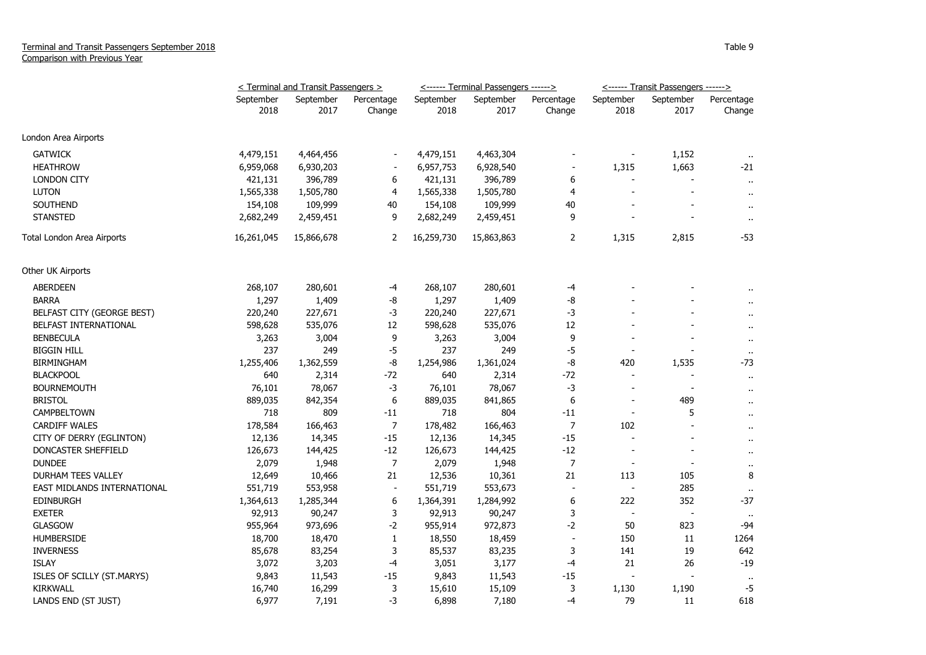|                             | <u>&lt; Terminal and Transit Passengers &gt;</u> |                   |                      |                   | <------ Terminal Passengers ------> |                          | <------ Transit Passengers ------> |                          |                      |
|-----------------------------|--------------------------------------------------|-------------------|----------------------|-------------------|-------------------------------------|--------------------------|------------------------------------|--------------------------|----------------------|
|                             | September<br>2018                                | September<br>2017 | Percentage<br>Change | September<br>2018 | September<br>2017                   | Percentage<br>Change     | September<br>2018                  | September<br>2017        | Percentage<br>Change |
|                             |                                                  |                   |                      |                   |                                     |                          |                                    |                          |                      |
| London Area Airports        |                                                  |                   |                      |                   |                                     |                          |                                    |                          |                      |
| <b>GATWICK</b>              | 4,479,151                                        | 4,464,456         |                      | 4,479,151         | 4,463,304                           |                          |                                    | 1,152                    | $\sim$               |
| <b>HEATHROW</b>             | 6,959,068                                        | 6,930,203         |                      | 6,957,753         | 6,928,540                           |                          | 1,315                              | 1,663                    | $-21$                |
| <b>LONDON CITY</b>          | 421,131                                          | 396,789           | 6                    | 421,131           | 396,789                             | 6                        |                                    |                          | $\ddot{\phantom{1}}$ |
| <b>LUTON</b>                | 1,565,338                                        | 1,505,780         | $\overline{4}$       | 1,565,338         | 1,505,780                           | 4                        | $\overline{a}$                     |                          | $\cdots$             |
| <b>SOUTHEND</b>             | 154,108                                          | 109,999           | 40                   | 154,108           | 109,999                             | 40                       |                                    |                          | .,                   |
| <b>STANSTED</b>             | 2,682,249                                        | 2,459,451         | 9                    | 2,682,249         | 2,459,451                           | 9                        |                                    |                          | $\cdot$ .            |
| Total London Area Airports  | 16,261,045                                       | 15,866,678        | 2                    | 16,259,730        | 15,863,863                          | 2                        | 1,315                              | 2,815                    | -53                  |
| Other UK Airports           |                                                  |                   |                      |                   |                                     |                          |                                    |                          |                      |
| ABERDEEN                    | 268,107                                          | 280,601           | -4                   | 268,107           | 280,601                             | -4                       |                                    |                          |                      |
| <b>BARRA</b>                | 1,297                                            | 1,409             | -8                   | 1,297             | 1,409                               | -8                       |                                    |                          | $\ddot{\phantom{a}}$ |
| BELFAST CITY (GEORGE BEST)  | 220,240                                          | 227,671           | -3                   | 220,240           | 227,671                             | -3                       |                                    |                          | Ω,                   |
| BELFAST INTERNATIONAL       | 598,628                                          | 535,076           | 12                   | 598,628           | 535,076                             | 12                       |                                    |                          | $\cdots$             |
| <b>BENBECULA</b>            | 3,263                                            | 3,004             | 9                    | 3,263             | 3,004                               | 9                        |                                    |                          | $\bullet$            |
| <b>BIGGIN HILL</b>          | 237                                              | 249               | $-5$                 | 237               | 249                                 | -5                       |                                    |                          | $\bullet\bullet$     |
| <b>BIRMINGHAM</b>           | 1,255,406                                        | 1,362,559         | -8                   | 1,254,986         | 1,361,024                           | -8                       | 420                                | 1,535                    | -73                  |
| <b>BLACKPOOL</b>            | 640                                              | 2,314             | $-72$                | 640               | 2,314                               | $-72$                    | $\overline{a}$                     |                          | $\ddot{\phantom{1}}$ |
| <b>BOURNEMOUTH</b>          | 76,101                                           | 78,067            | -3                   | 76,101            | 78,067                              | -3                       | $\overline{\phantom{0}}$           | $\overline{\phantom{a}}$ | $\ddot{\phantom{a}}$ |
| <b>BRISTOL</b>              | 889,035                                          | 842,354           | 6                    | 889,035           | 841,865                             | 6                        | $\overline{\phantom{a}}$           | 489                      | Ω,                   |
| CAMPBELTOWN                 | 718                                              | 809               | $-11$                | 718               | 804                                 | $-11$                    |                                    | 5                        | $\ddot{\phantom{1}}$ |
| <b>CARDIFF WALES</b>        | 178,584                                          | 166,463           | $\overline{7}$       | 178,482           | 166,463                             | $\overline{7}$           | 102                                |                          | $\alpha$             |
| CITY OF DERRY (EGLINTON)    | 12,136                                           | 14,345            | $-15$                | 12,136            | 14,345                              | $-15$                    | $\overline{a}$                     |                          | $\ddot{\phantom{a}}$ |
| DONCASTER SHEFFIELD         | 126,673                                          | 144,425           | $-12$                | 126,673           | 144,425                             | $-12$                    |                                    |                          | $\ddot{\phantom{1}}$ |
| <b>DUNDEE</b>               | 2,079                                            | 1,948             | $\overline{7}$       | 2,079             | 1,948                               | $\overline{7}$           |                                    |                          | $\cdot$              |
| DURHAM TEES VALLEY          | 12,649                                           | 10,466            | 21                   | 12,536            | 10,361                              | 21                       | 113                                | 105                      | 8                    |
| EAST MIDLANDS INTERNATIONAL | 551,719                                          | 553,958           | $\blacksquare$       | 551,719           | 553,673                             | $\overline{\phantom{a}}$ | $\overline{\phantom{a}}$           | 285                      | $\bullet\bullet$     |
| <b>EDINBURGH</b>            | 1,364,613                                        | 1,285,344         | 6                    | 1,364,391         | 1,284,992                           | 6                        | 222                                | 352                      | $-37$                |
| <b>EXETER</b>               | 92,913                                           | 90,247            | 3                    | 92,913            | 90,247                              | 3                        | $\overline{\phantom{a}}$           |                          | $\sim$               |
| GLASGOW                     | 955,964                                          | 973,696           | $-2$                 | 955,914           | 972,873                             | $-2$                     | 50                                 | 823                      | -94                  |
| <b>HUMBERSIDE</b>           | 18,700                                           | 18,470            | $\mathbf{1}$         | 18,550            | 18,459                              | Ĭ.                       | 150                                | 11                       | 1264                 |
| <b>INVERNESS</b>            | 85,678                                           | 83,254            | 3                    | 85,537            | 83,235                              | 3                        | 141                                | 19                       | 642                  |
| <b>ISLAY</b>                | 3,072                                            | 3,203             | -4                   | 3,051             | 3,177                               | -4                       | 21                                 | 26                       | $-19$                |
| ISLES OF SCILLY (ST.MARYS)  | 9,843                                            | 11,543            | $-15$                | 9,843             | 11,543                              | $-15$                    |                                    |                          | $\sim$               |
| <b>KIRKWALL</b>             | 16,740                                           | 16,299            | 3                    | 15,610            | 15,109                              | 3                        | 1,130                              | 1,190                    | -5                   |
| LANDS END (ST JUST)         | 6,977                                            | 7,191             | $-3$                 | 6,898             | 7,180                               | $-4$                     | 79                                 | 11                       | 618                  |